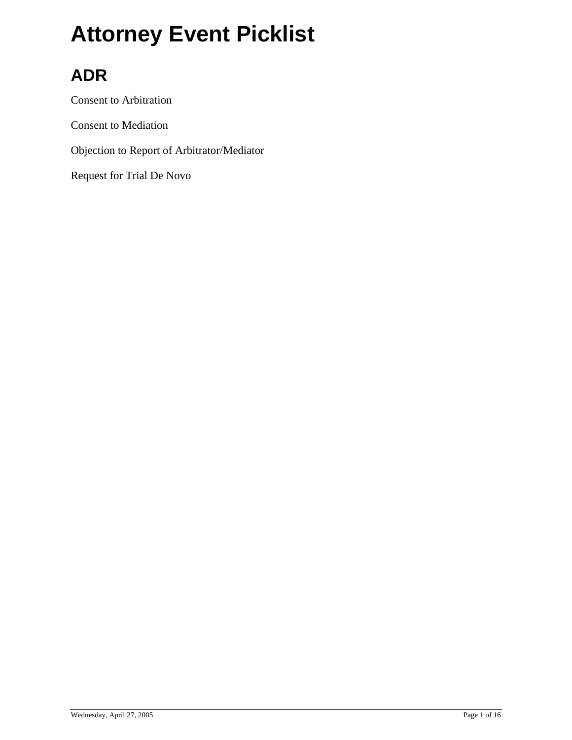### **ADR**

Consent to Arbitration

Consent to Mediation

Objection to Report of Arbitrator/Mediator

Request for Trial De Novo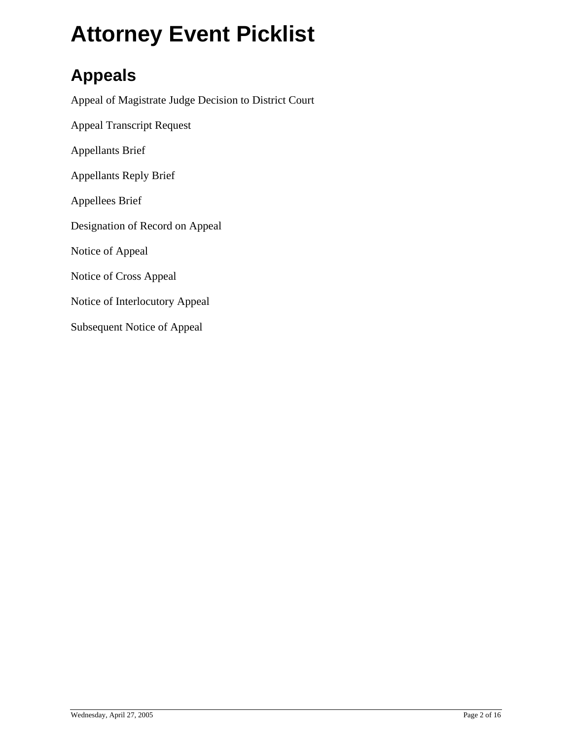#### **Appeals**

Appeal of Magistrate Judge Decision to District Court Appeal Transcript Request Appellants Brief Appellants Reply Brief Appellees Brief Designation of Record on Appeal Notice of Appeal Notice of Cross Appeal Notice of Interlocutory Appeal Subsequent Notice of Appeal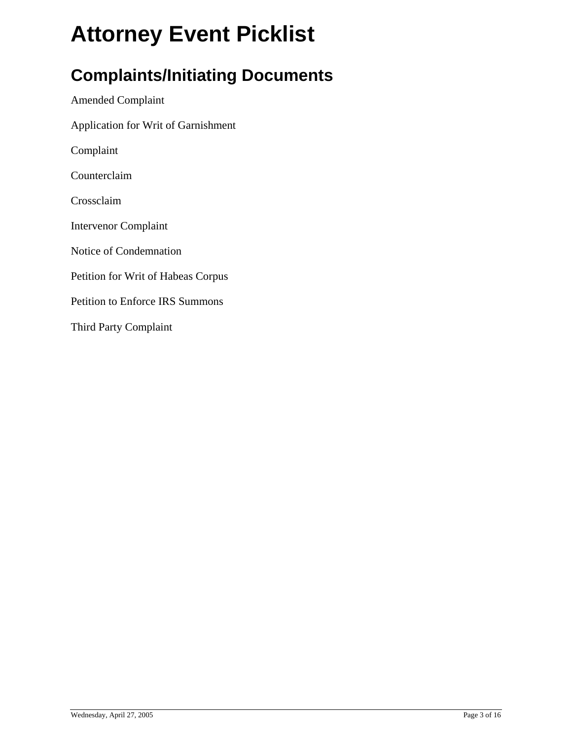#### **Complaints/Initiating Documents**

Amended Complaint Application for Writ of Garnishment Complaint Counterclaim Crossclaim Intervenor Complaint Notice of Condemnation Petition for Writ of Habeas Corpus Petition to Enforce IRS Summons Third Party Complaint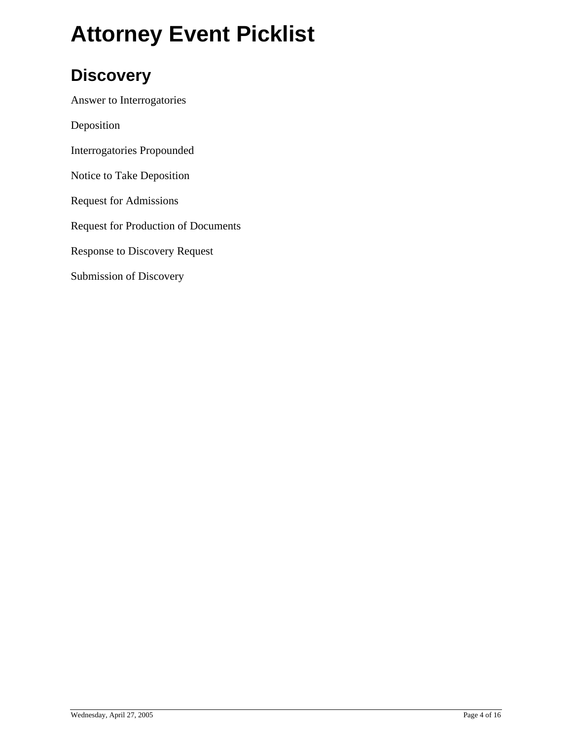#### **Discovery**

Answer to Interrogatories

Deposition

Interrogatories Propounded

Notice to Take Deposition

Request for Admissions

Request for Production of Documents

Response to Discovery Request

Submission of Discovery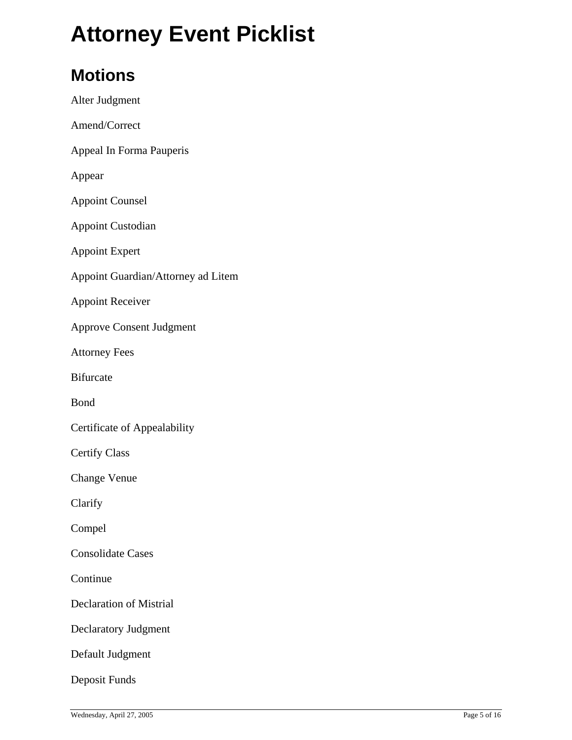#### **Motions**

| Alter Judgment                     |
|------------------------------------|
| Amend/Correct                      |
| Appeal In Forma Pauperis           |
| Appear                             |
| <b>Appoint Counsel</b>             |
| <b>Appoint Custodian</b>           |
| <b>Appoint Expert</b>              |
| Appoint Guardian/Attorney ad Litem |
| <b>Appoint Receiver</b>            |
| <b>Approve Consent Judgment</b>    |
| <b>Attorney Fees</b>               |
| <b>Bifurcate</b>                   |
| Bond                               |
| Certificate of Appealability       |
| <b>Certify Class</b>               |
| <b>Change Venue</b>                |
| Clarify                            |
| Compel                             |
| <b>Consolidate Cases</b>           |
| Continue                           |
| <b>Declaration of Mistrial</b>     |
| <b>Declaratory Judgment</b>        |
| Default Judgment                   |
| Deposit Funds                      |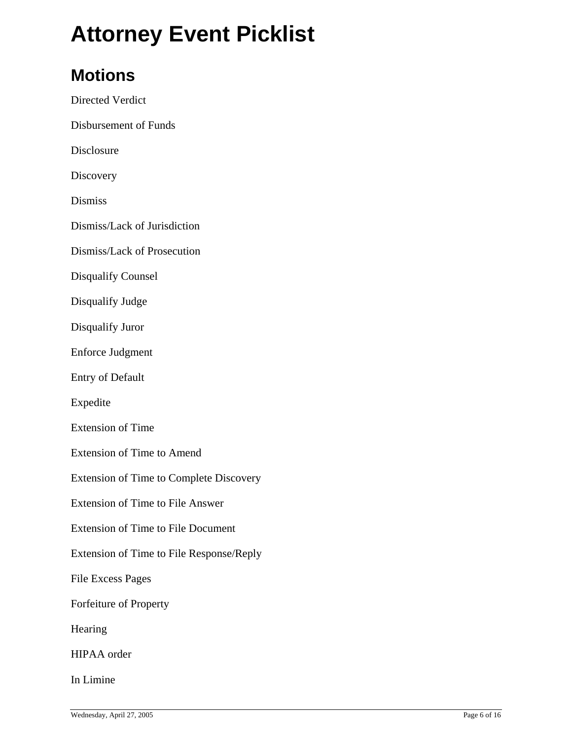#### **Motions**

Directed Verdict Disbursement of Funds Disclosure **Discovery** Dismiss Dismiss/Lack of Jurisdiction Dismiss/Lack of Prosecution Disqualify Counsel Disqualify Judge Disqualify Juror Enforce Judgment Entry of Default Expedite Extension of Time Extension of Time to Amend Extension of Time to Complete Discovery Extension of Time to File Answer Extension of Time to File Document Extension of Time to File Response/Reply File Excess Pages Forfeiture of Property Hearing HIPAA order

In Limine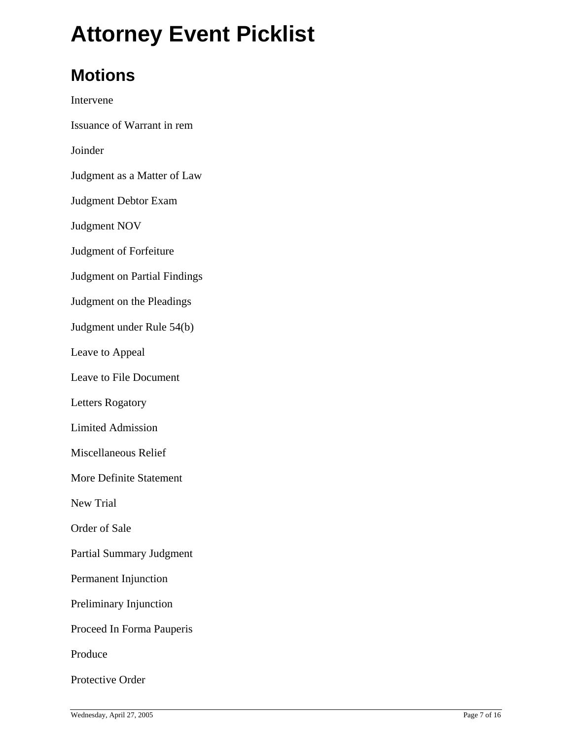#### **Motions**

Intervene Issuance of Warrant in rem Joinder Judgment as a Matter of Law Judgment Debtor Exam Judgment NOV Judgment of Forfeiture Judgment on Partial Findings Judgment on the Pleadings Judgment under Rule 54(b) Leave to Appeal Leave to File Document Letters Rogatory Limited Admission Miscellaneous Relief More Definite Statement New Trial Order of Sale Partial Summary Judgment Permanent Injunction Preliminary Injunction Proceed In Forma Pauperis Produce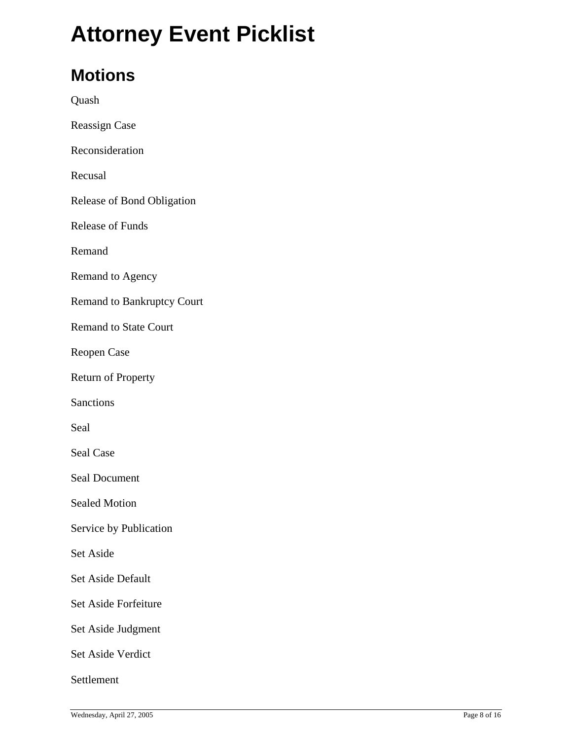#### **Motions**

Quash Reassign Case Reconsideration Recusal Release of Bond Obligation Release of Funds Remand Remand to Agency Remand to Bankruptcy Court Remand to State Court Reopen Case Return of Property **Sanctions** Seal Seal Case Seal Document Sealed Motion Service by Publication Set Aside Set Aside Default Set Aside Forfeiture Set Aside Judgment Set Aside Verdict Settlement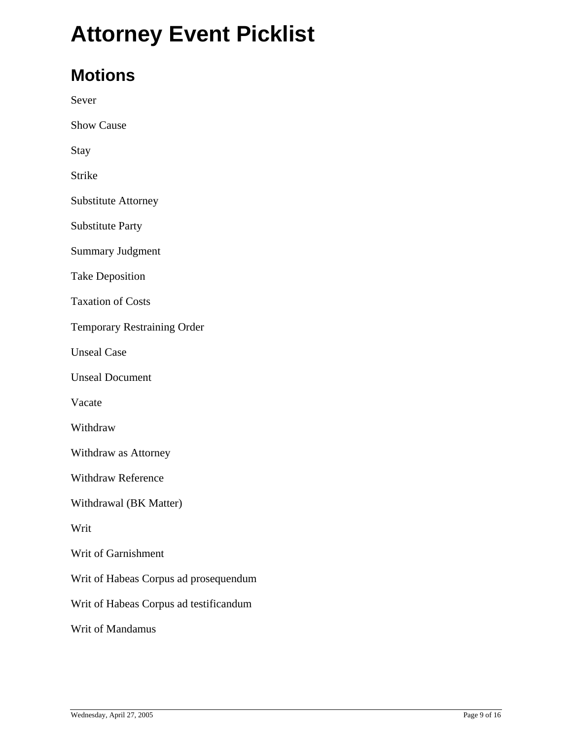#### **Motions**

Sever

Show Cause

Stay

Strike

Substitute Attorney

Substitute Party

Summary Judgment

Take Deposition

Taxation of Costs

Temporary Restraining Order

Unseal Case

Unseal Document

Vacate

Withdraw

Withdraw as Attorney

Withdraw Reference

Withdrawal (BK Matter)

Writ

Writ of Garnishment

Writ of Habeas Corpus ad prosequendum

Writ of Habeas Corpus ad testificandum

Writ of Mandamus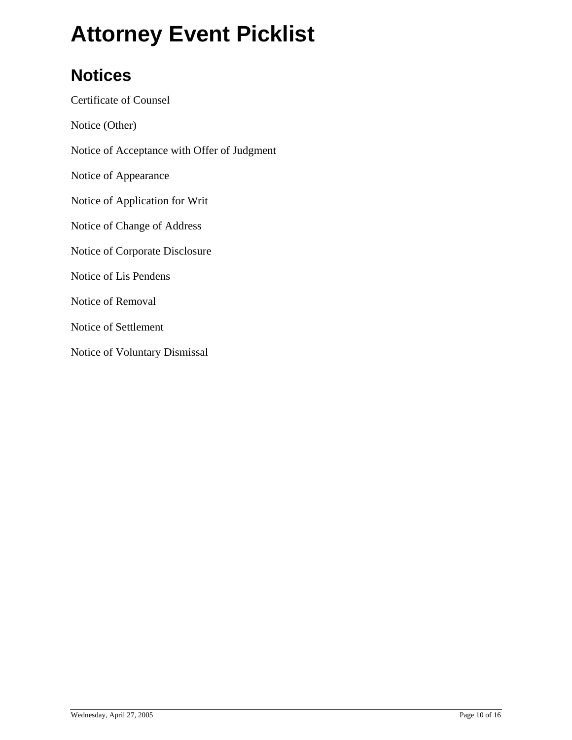#### **Notices**

Certificate of Counsel Notice (Other) Notice of Acceptance with Offer of Judgment Notice of Appearance Notice of Application for Writ Notice of Change of Address Notice of Corporate Disclosure Notice of Lis Pendens Notice of Removal Notice of Settlement Notice of Voluntary Dismissal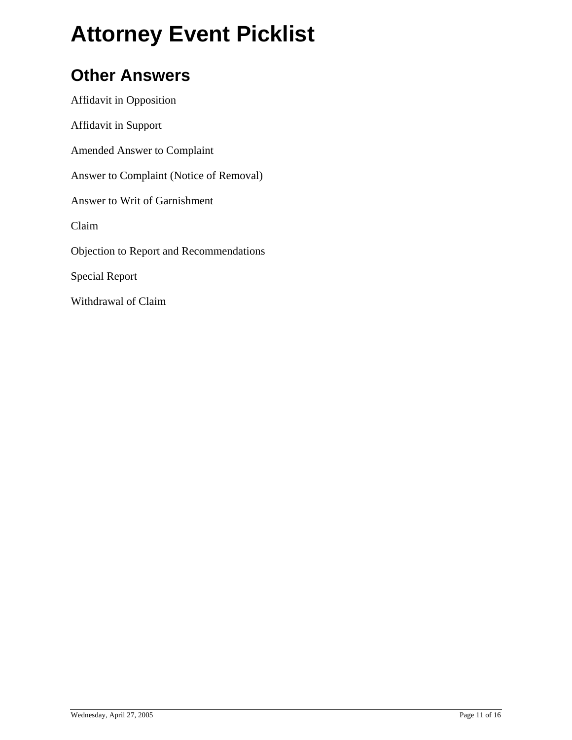#### **Other Answers**

Affidavit in Opposition Affidavit in Support Amended Answer to Complaint Answer to Complaint (Notice of Removal) Answer to Writ of Garnishment Claim Objection to Report and Recommendations Special Report Withdrawal of Claim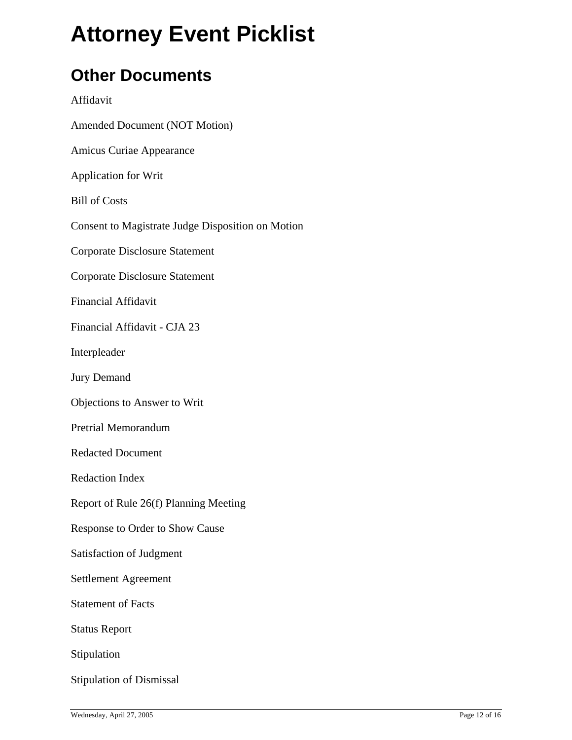#### **Other Documents**

#### Affidavit

- Amended Document (NOT Motion)
- Amicus Curiae Appearance
- Application for Writ
- Bill of Costs
- Consent to Magistrate Judge Disposition on Motion
- Corporate Disclosure Statement
- Corporate Disclosure Statement
- Financial Affidavit
- Financial Affidavit CJA 23
- Interpleader
- Jury Demand
- Objections to Answer to Writ
- Pretrial Memorandum
- Redacted Document
- Redaction Index
- Report of Rule 26(f) Planning Meeting
- Response to Order to Show Cause
- Satisfaction of Judgment
- Settlement Agreement
- Statement of Facts
- Status Report
- Stipulation
- Stipulation of Dismissal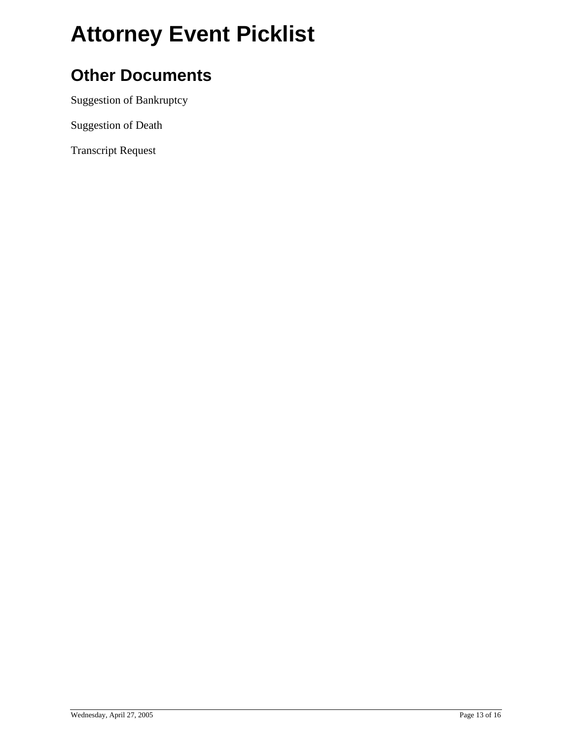#### **Other Documents**

Suggestion of Bankruptcy

Suggestion of Death

Transcript Request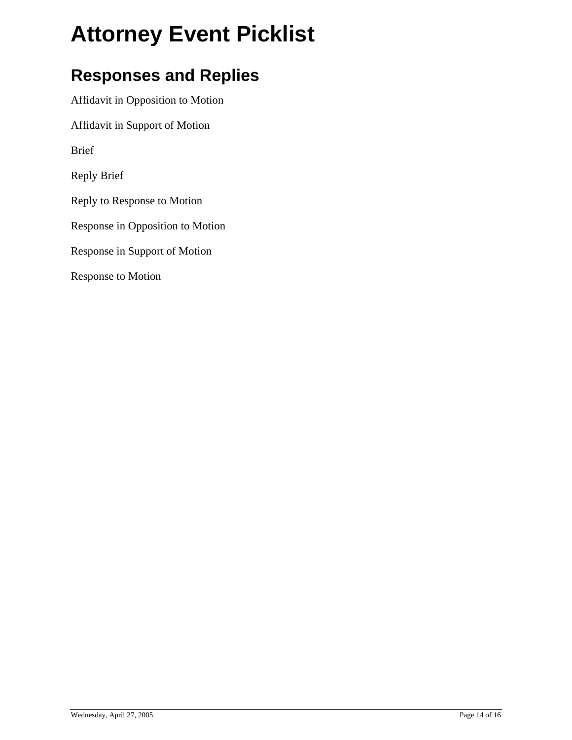#### **Responses and Replies**

Affidavit in Opposition to Motion

Affidavit in Support of Motion

Brief

Reply Brief

Reply to Response to Motion

Response in Opposition to Motion

Response in Support of Motion

Response to Motion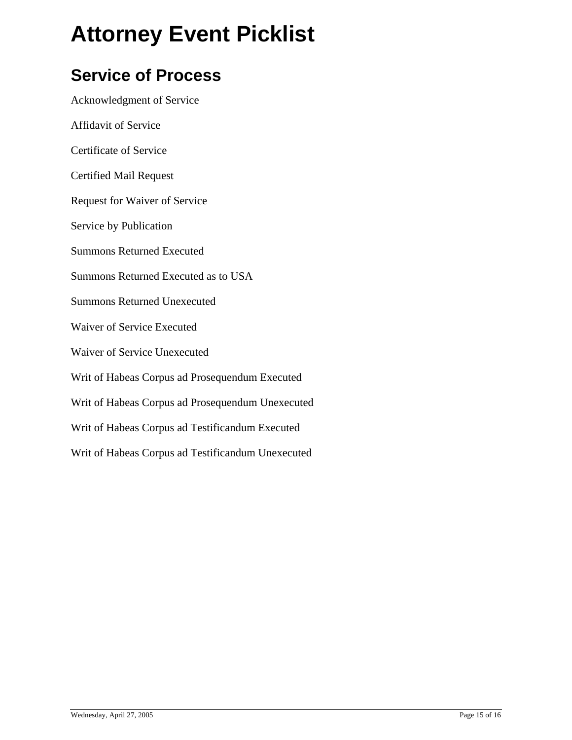#### **Service of Process**

Acknowledgment of Service Affidavit of Service Certificate of Service Certified Mail Request Request for Waiver of Service Service by Publication Summons Returned Executed Summons Returned Executed as to USA Summons Returned Unexecuted Waiver of Service Executed Waiver of Service Unexecuted Writ of Habeas Corpus ad Prosequendum Executed Writ of Habeas Corpus ad Prosequendum Unexecuted Writ of Habeas Corpus ad Testificandum Executed Writ of Habeas Corpus ad Testificandum Unexecuted